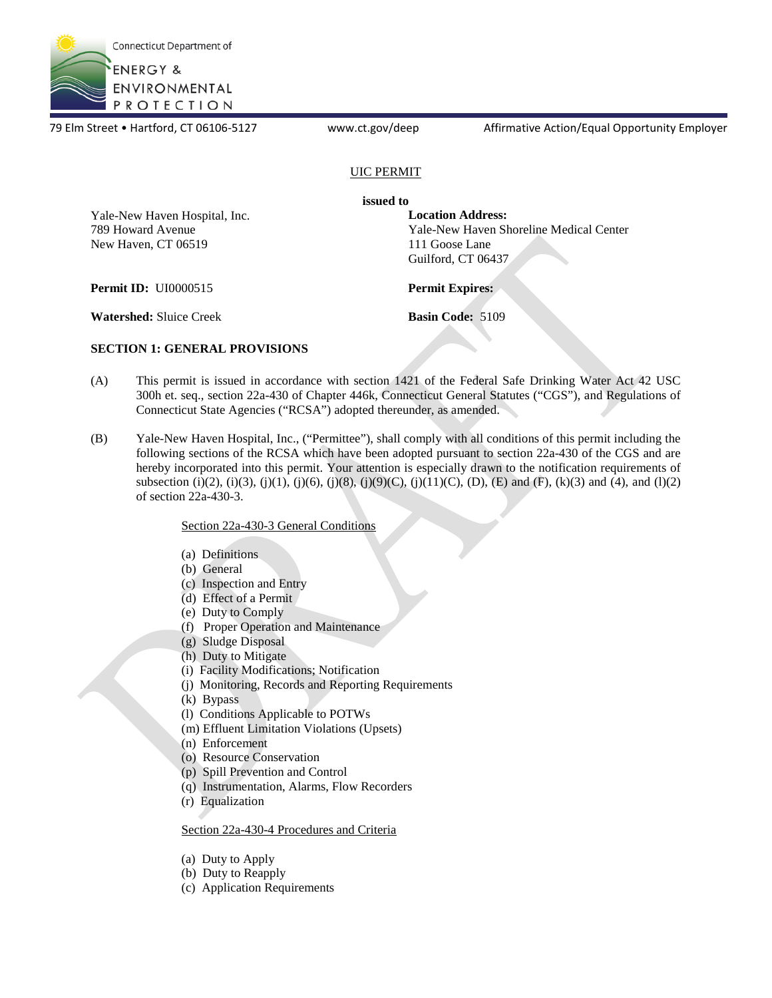

79 Elm Street • Hartford, CT 06106-5127 www.ct.gov/deep Affirmative Action/Equal Opportunity Employer

### UIC PERMIT

**issued to** 

Yale-New Haven Hospital, Inc. 789 Howard Avenue New Haven, CT 06519

**Location Address:**  Yale-New Haven Shoreline Medical Center 111 Goose Lane Guilford, CT 06437

**Permit ID:** UI0000515 **Permit Expires:** 

**Watershed:** Sluice Creek **Basin Code:** 5109

### **SECTION 1: GENERAL PROVISIONS**

- (A) This permit is issued in accordance with section 1421 of the Federal Safe Drinking Water Act 42 USC 300h et. seq., section 22a-430 of Chapter 446k, Connecticut General Statutes ("CGS"), and Regulations of Connecticut State Agencies ("RCSA") adopted thereunder, as amended.
- (B) Yale-New Haven Hospital, Inc., ("Permittee"), shall comply with all conditions of this permit including the following sections of the RCSA which have been adopted pursuant to section 22a-430 of the CGS and are hereby incorporated into this permit. Your attention is especially drawn to the notification requirements of subsection (i)(2), (i)(3), (j)(1), (j)(6), (j)(8), (j)(9)(C), (j)(11)(C), (D), (E) and (F), (k)(3) and (4), and (l)(2) of section 22a-430-3.

### Section 22a-430-3 General Conditions

- (a) Definitions
- (b) General
- (c) Inspection and Entry
- (d) Effect of a Permit
- (e) Duty to Comply
- (f) Proper Operation and Maintenance
- (g) Sludge Disposal
- (h) Duty to Mitigate
- (i) Facility Modifications; Notification
- (j) Monitoring, Records and Reporting Requirements
- (k) Bypass
- (l) Conditions Applicable to POTWs
- (m) Effluent Limitation Violations (Upsets)
- (n) Enforcement
- (o) Resource Conservation
- (p) Spill Prevention and Control
- (q) Instrumentation, Alarms, Flow Recorders
- (r) Equalization

### Section 22a-430-4 Procedures and Criteria

- (a) Duty to Apply
- (b) Duty to Reapply
- (c) Application Requirements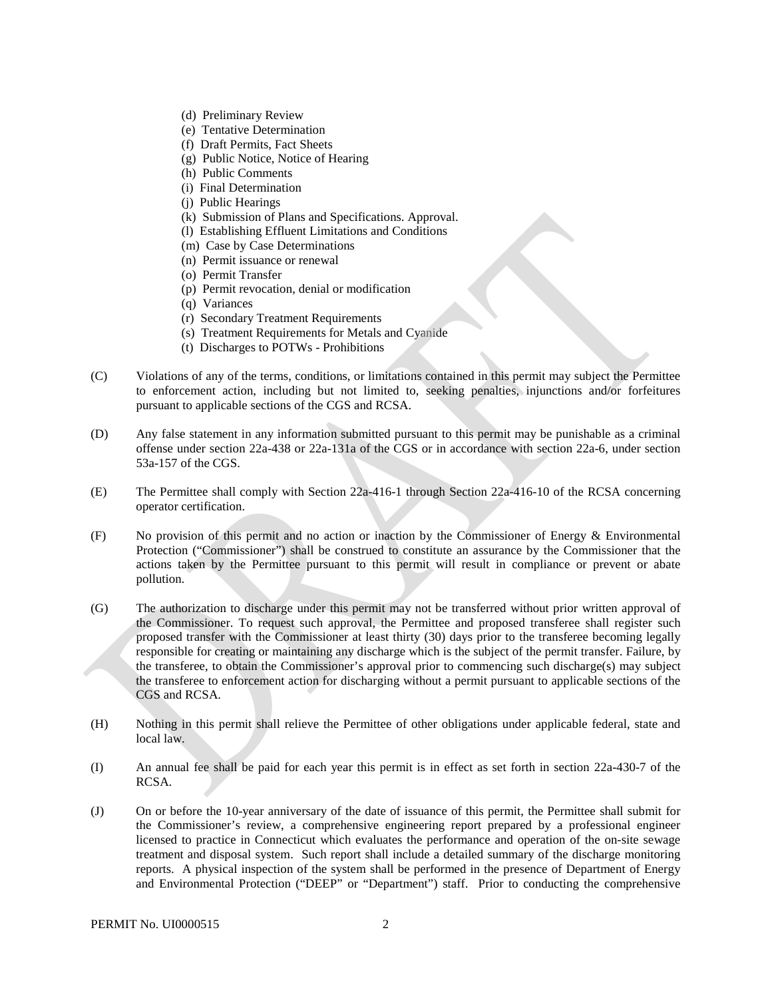- (d) Preliminary Review
- (e) Tentative Determination
- (f) Draft Permits, Fact Sheets
- (g) Public Notice, Notice of Hearing
- (h) Public Comments
- (i) Final Determination
- (j) Public Hearings
- (k) Submission of Plans and Specifications. Approval.
- (l) Establishing Effluent Limitations and Conditions
- (m) Case by Case Determinations
- (n) Permit issuance or renewal
- (o) Permit Transfer
- (p) Permit revocation, denial or modification
- (q) Variances
- (r) Secondary Treatment Requirements
- (s) Treatment Requirements for Metals and Cyanide
- (t) Discharges to POTWs Prohibitions
- (C) Violations of any of the terms, conditions, or limitations contained in this permit may subject the Permittee to enforcement action, including but not limited to, seeking penalties, injunctions and/or forfeitures pursuant to applicable sections of the CGS and RCSA.
- (D) Any false statement in any information submitted pursuant to this permit may be punishable as a criminal offense under section 22a-438 or 22a-131a of the CGS or in accordance with section 22a-6, under section 53a-157 of the CGS.
- (E) The Permittee shall comply with Section 22a-416-1 through Section 22a-416-10 of the RCSA concerning operator certification.
- (F) No provision of this permit and no action or inaction by the Commissioner of Energy & Environmental Protection ("Commissioner") shall be construed to constitute an assurance by the Commissioner that the actions taken by the Permittee pursuant to this permit will result in compliance or prevent or abate pollution.
- (G) The authorization to discharge under this permit may not be transferred without prior written approval of the Commissioner. To request such approval, the Permittee and proposed transferee shall register such proposed transfer with the Commissioner at least thirty (30) days prior to the transferee becoming legally responsible for creating or maintaining any discharge which is the subject of the permit transfer. Failure, by the transferee, to obtain the Commissioner's approval prior to commencing such discharge(s) may subject the transferee to enforcement action for discharging without a permit pursuant to applicable sections of the CGS and RCSA.
- (H) Nothing in this permit shall relieve the Permittee of other obligations under applicable federal, state and local law.
- (I) An annual fee shall be paid for each year this permit is in effect as set forth in section 22a-430-7 of the RCSA.
- treatment and disposal system. Such report shall include a detailed summary of the discharge monitoring (J) On or before the 10-year anniversary of the date of issuance of this permit, the Permittee shall submit for the Commissioner's review, a comprehensive engineering report prepared by a professional engineer licensed to practice in Connecticut which evaluates the performance and operation of the on-site sewage reports. A physical inspection of the system shall be performed in the presence of Department of Energy and Environmental Protection ("DEEP" or "Department") staff. Prior to conducting the comprehensive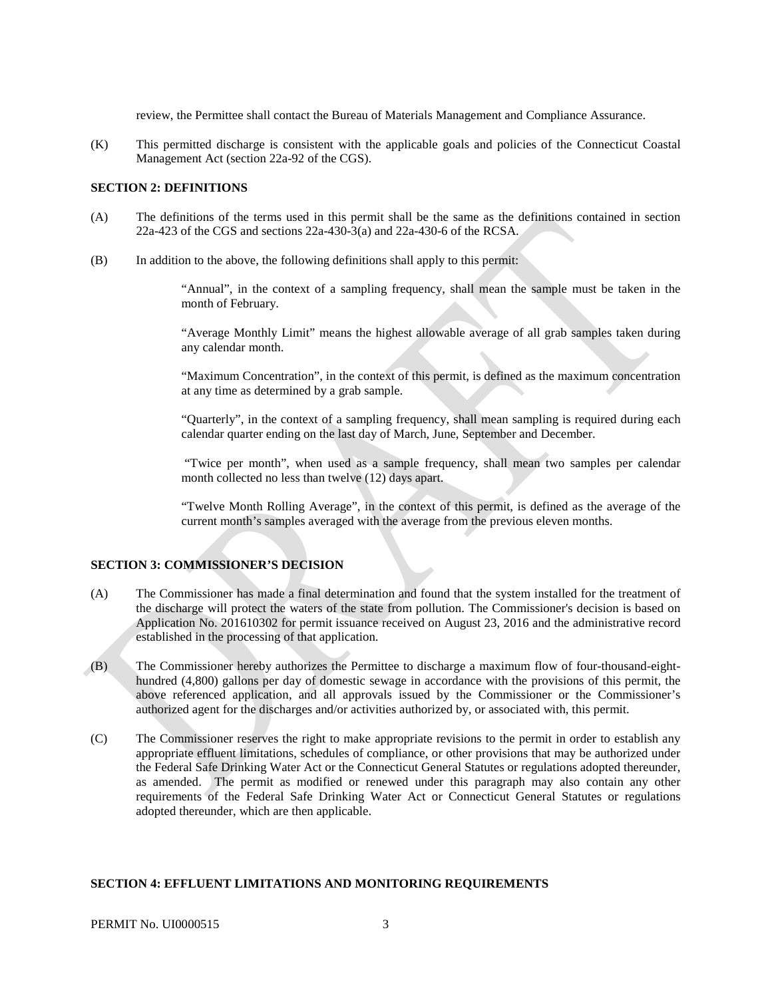review, the Permittee shall contact the Bureau of Materials Management and Compliance Assurance.

 (K) This permitted discharge is consistent with the applicable goals and policies of the Connecticut Coastal Management Act (section 22a-92 of the CGS).

### **SECTION 2: DEFINITIONS**

- (A) The definitions of the terms used in this permit shall be the same as the definitions contained in section 22a-423 of the CGS and sections 22a-430-3(a) and 22a-430-6 of the RCSA.
- (B) In addition to the above, the following definitions shall apply to this permit:

 "Annual", in the context of a sampling frequency, shall mean the sample must be taken in the month of February.

"Average Monthly Limit" means the highest allowable average of all grab samples taken during any calendar month.

"Maximum Concentration", in the context of this permit, is defined as the maximum concentration at any time as determined by a grab sample.

"Quarterly", in the context of a sampling frequency, shall mean sampling is required during each calendar quarter ending on the last day of March, June, September and December.

"Twice per month", when used as a sample frequency, shall mean two samples per calendar month collected no less than twelve (12) days apart.

"Twelve Month Rolling Average", in the context of this permit, is defined as the average of the current month's samples averaged with the average from the previous eleven months.

#### **SECTION 3: COMMISSIONER'S DECISION**

- The Commissioner has made a final determination and found that the system installed for the treatment of Application No. 201610302 for permit issuance received on August 23, 2016 and the administrative record  $(A)$ the discharge will protect the waters of the state from pollution. The Commissioner's decision is based on established in the processing of that application.
- (B) The Commissioner hereby authorizes the Permittee to discharge a maximum flow of four-thousand-eighthundred (4,800) gallons per day of domestic sewage in accordance with the provisions of this permit, the above referenced application, and all approvals issued by the Commissioner or the Commissioner's authorized agent for the discharges and/or activities authorized by, or associated with, this permit.
- (C) The Commissioner reserves the right to make appropriate revisions to the permit in order to establish any appropriate effluent limitations, schedules of compliance, or other provisions that may be authorized under the Federal Safe Drinking Water Act or the Connecticut General Statutes or regulations adopted thereunder, as amended. The permit as modified or renewed under this paragraph may also contain any other requirements of the Federal Safe Drinking Water Act or Connecticut General Statutes or regulations adopted thereunder, which are then applicable.

#### **SECTION 4: EFFLUENT LIMITATIONS AND MONITORING REQUIREMENTS**

#### PERMIT No. UI0000515 3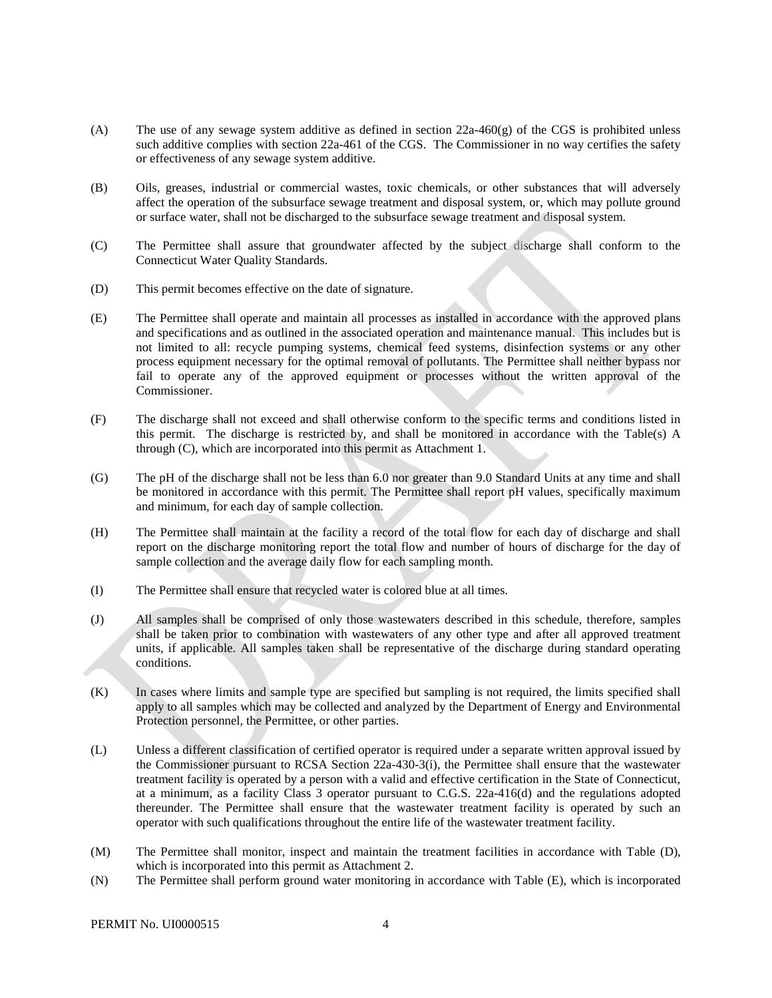- (A) The use of any sewage system additive as defined in section  $22a-460(g)$  of the CGS is prohibited unless or effectiveness of any sewage system additive. such additive complies with section 22a-461 of the CGS. The Commissioner in no way certifies the safety
- (B) Oils, greases, industrial or commercial wastes, toxic chemicals, or other substances that will adversely affect the operation of the subsurface sewage treatment and disposal system, or, which may pollute ground or surface water, shall not be discharged to the subsurface sewage treatment and disposal system.
- (C) The Permittee shall assure that groundwater affected by the subject discharge shall conform to the Connecticut Water Quality Standards.
- (D) This permit becomes effective on the date of signature.
- (E) The Permittee shall operate and maintain all processes as installed in accordance with the approved plans and specifications and as outlined in the associated operation and maintenance manual. This includes but is not limited to all: recycle pumping systems, chemical feed systems, disinfection systems or any other process equipment necessary for the optimal removal of pollutants. The Permittee shall neither bypass nor fail to operate any of the approved equipment or processes without the written approval of the Commissioner.
- (F) The discharge shall not exceed and shall otherwise conform to the specific terms and conditions listed in this permit. The discharge is restricted by, and shall be monitored in accordance with the Table(s) A through (C), which are incorporated into this permit as Attachment 1.
- (G) The pH of the discharge shall not be less than 6.0 nor greater than 9.0 Standard Units at any time and shall be monitored in accordance with this permit. The Permittee shall report pH values, specifically maximum and minimum, for each day of sample collection.
- (H) The Permittee shall maintain at the facility a record of the total flow for each day of discharge and shall report on the discharge monitoring report the total flow and number of hours of discharge for the day of sample collection and the average daily flow for each sampling month.
- (I) The Permittee shall ensure that recycled water is colored blue at all times.
- (J) All samples shall be comprised of only those wastewaters described in this schedule, therefore, samples shall be taken prior to combination with wastewaters of any other type and after all approved treatment units, if applicable. All samples taken shall be representative of the discharge during standard operating conditions.
- (K) In cases where limits and sample type are specified but sampling is not required, the limits specified shall apply to all samples which may be collected and analyzed by the Department of Energy and Environmental Protection personnel, the Permittee, or other parties.
- (L) Unless a different classification of certified operator is required under a separate written approval issued by the Commissioner pursuant to RCSA Section 22a-430-3(i), the Permittee shall ensure that the wastewater treatment facility is operated by a person with a valid and effective certification in the State of Connecticut, at a minimum, as a facility Class 3 operator pursuant to C.G.S. 22a-416(d) and the regulations adopted thereunder. The Permittee shall ensure that the wastewater treatment facility is operated by such an operator with such qualifications throughout the entire life of the wastewater treatment facility.
- (M) The Permittee shall monitor, inspect and maintain the treatment facilities in accordance with Table (D), which is incorporated into this permit as Attachment 2.
- (N) The Permittee shall perform ground water monitoring in accordance with Table (E), which is incorporated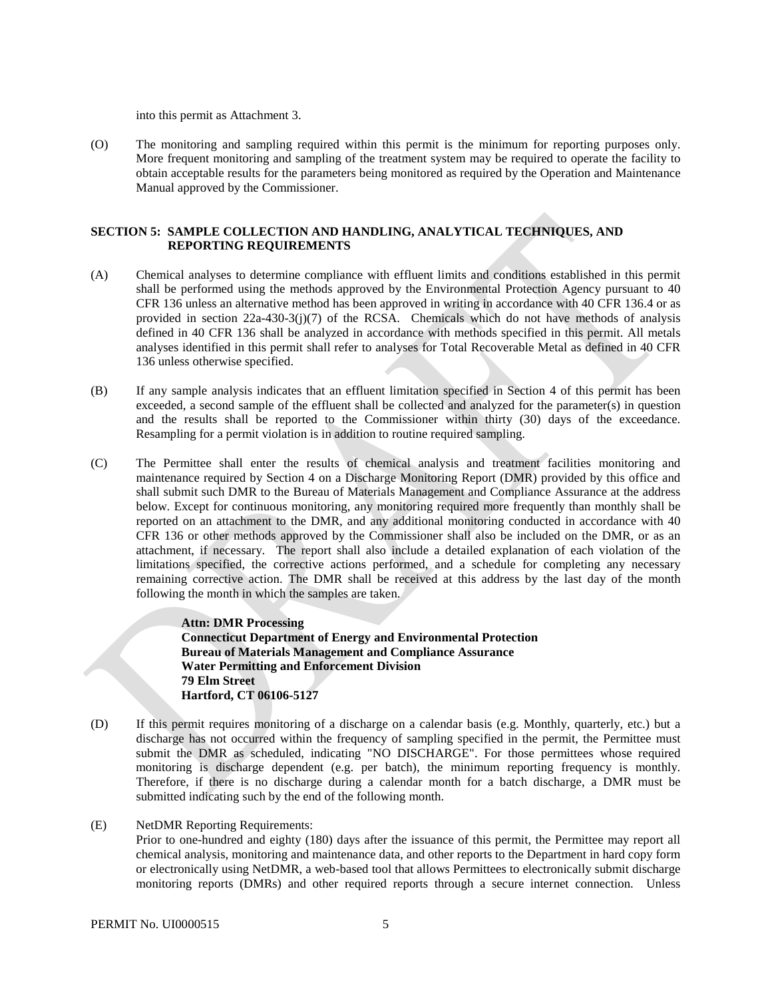into this permit as Attachment 3.

The monitoring and sampling required within this permit is the minimum for reporting purposes only. (O) The monitoring and sampling required within this permit is the minimum for reporting purposes only.<br>More frequent monitoring and sampling of the treatment system may be required to operate the facility to obtain acceptable results for the parameters being monitored as required by the Operation and Maintenance Manual approved by the Commissioner.

### **SECTION 5: SAMPLE COLLECTION AND HANDLING, ANALYTICAL TECHNIQUES, AND REPORTING REQUIREMENTS**

- (A) Chemical analyses to determine compliance with effluent limits and conditions established in this permit shall be performed using the methods approved by the Environmental Protection Agency pursuant to 40 CFR 136 unless an alternative method has been approved in writing in accordance with 40 CFR 136.4 or as provided in section  $22a-430-3(j)(7)$  of the RCSA. Chemicals which do not have methods of analysis defined in 40 CFR 136 shall be analyzed in accordance with methods specified in this permit. All metals analyses identified in this permit shall refer to analyses for Total Recoverable Metal as defined in 40 CFR 136 unless otherwise specified.
- (B) If any sample analysis indicates that an effluent limitation specified in Section 4 of this permit has been exceeded, a second sample of the effluent shall be collected and analyzed for the parameter(s) in question and the results shall be reported to the Commissioner within thirty (30) days of the exceedance. Resampling for a permit violation is in addition to routine required sampling.
- (C) The Permittee shall enter the results of chemical analysis and treatment facilities monitoring and maintenance required by Section 4 on a Discharge Monitoring Report (DMR) provided by this office and shall submit such DMR to the Bureau of Materials Management and Compliance Assurance at the address below. Except for continuous monitoring, any monitoring required more frequently than monthly shall be reported on an attachment to the DMR, and any additional monitoring conducted in accordance with 40 CFR 136 or other methods approved by the Commissioner shall also be included on the DMR, or as an attachment, if necessary. The report shall also include a detailed explanation of each violation of the limitations specified, the corrective actions performed, and a schedule for completing any necessary remaining corrective action. The DMR shall be received at this address by the last day of the month following the month in which the samples are taken.

**Attn: DMR Processing Connecticut Department of Energy and Environmental Protection Bureau of Materials Management and Compliance Assurance Water Permitting and Enforcement Division 79 Elm Street Hartford, CT 06106-5127** 

- (D) If this permit requires monitoring of a discharge on a calendar basis (e.g. Monthly, quarterly, etc.) but a discharge has not occurred within the frequency of sampling specified in the permit, the Permittee must submit the DMR as scheduled, indicating "NO DISCHARGE". For those permittees whose required monitoring is discharge dependent (e.g. per batch), the minimum reporting frequency is monthly. Therefore, if there is no discharge during a calendar month for a batch discharge, a DMR must be submitted indicating such by the end of the following month.
- (E) NetDMR Reporting Requirements:

 chemical analysis, monitoring and maintenance data, and other reports to the Department in hard copy form monitoring reports (DMRs) and other required reports through a secure internet connection. Unless Prior to one-hundred and eighty (180) days after the issuance of this permit, the Permittee may report all or electronically using NetDMR, a web-based tool that allows Permittees to electronically submit discharge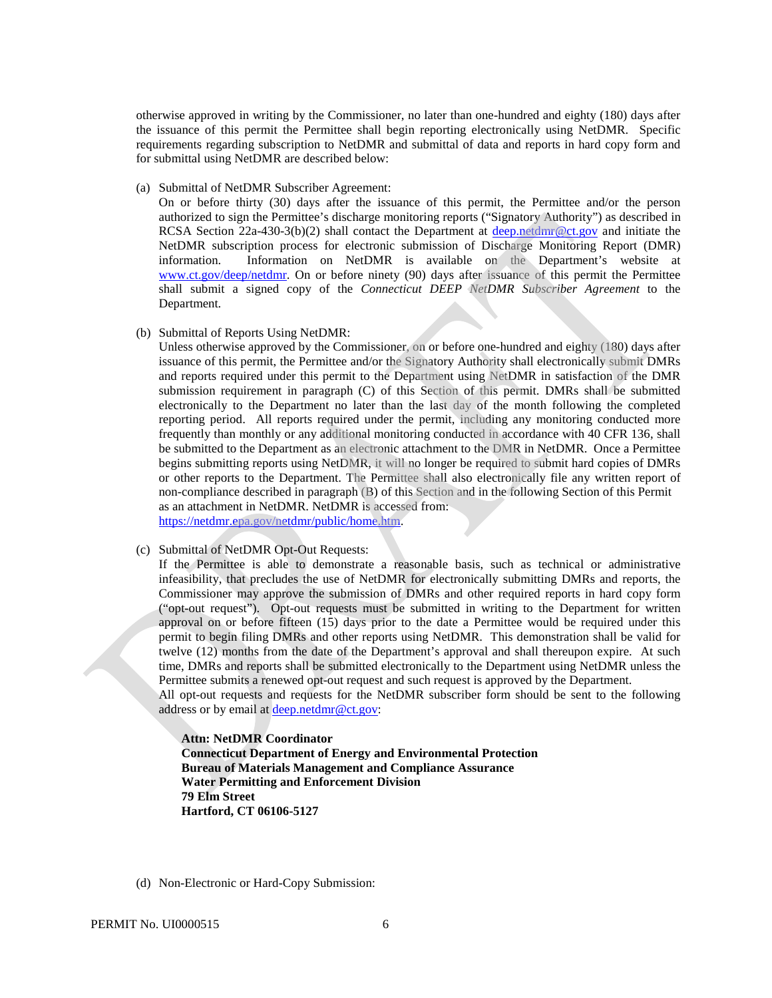the issuance of this permit the Permittee shall begin reporting electronically using NetDMR. Specific otherwise approved in writing by the Commissioner, no later than one-hundred and eighty (180) days after requirements regarding subscription to NetDMR and submittal of data and reports in hard copy form and for submittal using NetDMR are described below:

(a) Submittal of NetDMR Subscriber Agreement:

On or before thirty (30) days after the issuance of this permit, the Permittee and/or the person authorized to sign the Permittee's discharge monitoring reports ("Signatory Authority") as described in RCSA Section 22a-430-3(b)(2) shall contact the Department at [deep.netdmr@ct.gov](mailto:deep.netdmr@ct.gov) and initiate the NetDMR subscription process for electronic submission of Discharge Monitoring Report (DMR) information. Information on NetDMR is available on the Department's website at [www.ct.gov/deep/netdmr.](https://www.ct.gov/deep/netdmr) On or before ninety (90) days after issuance of this permit the Permittee shall submit a signed copy of the *Connecticut DEEP NetDMR Subscriber Agreement* to the Department.

(b) Submittal of Reports Using NetDMR:

Unless otherwise approved by the Commissioner, on or before one-hundred and eighty (180) days after issuance of this permit, the Permittee and/or the Signatory Authority shall electronically submit DMRs and reports required under this permit to the Department using NetDMR in satisfaction of the DMR submission requirement in paragraph (C) of this Section of this permit. DMRs shall be submitted electronically to the Department no later than the last day of the month following the completed reporting period. All reports required under the permit, including any monitoring conducted more frequently than monthly or any additional monitoring conducted in accordance with 40 CFR 136, shall be submitted to the Department as an electronic attachment to the DMR in NetDMR. Once a Permittee begins submitting reports using NetDMR, it will no longer be required to submit hard copies of DMRs or other reports to the Department. The Permittee shall also electronically file any written report of non-compliance described in paragraph (B) of this Section and in the following Section of this Permit as an attachment in NetDMR. NetDMR is accessed from: [https://netdmr.epa.gov/netdmr/public/home.htm.](https://netdmr.epa.gov/netdmr/public/home.htm)

(c) Submittal of NetDMR Opt-Out Requests:

If the Permittee is able to demonstrate a reasonable basis, such as technical or administrative infeasibility, that precludes the use of NetDMR for electronically submitting DMRs and reports, the Commissioner may approve the submission of DMRs and other required reports in hard copy form ("opt-out request"). Opt-out requests must be submitted in writing to the Department for written approval on or before fifteen (15) days prior to the date a Permittee would be required under this permit to begin filing DMRs and other reports using NetDMR. This demonstration shall be valid for twelve (12) months from the date of the Department's approval and shall thereupon expire. At such time, DMRs and reports shall be submitted electronically to the Department using NetDMR unless the Permittee submits a renewed opt-out request and such request is approved by the Department.

All opt-out requests and requests for the NetDMR subscriber form should be sent to the following address or by email at [deep.netdmr@ct.gov:](mailto:deep.netdmr@ct.gov)

**Attn: NetDMR Coordinator Connecticut Department of Energy and Environmental Protection Bureau of Materials Management and Compliance Assurance Water Permitting and Enforcement Division 79 Elm Street Hartford, CT 06106-5127** 

(d) Non-Electronic or Hard-Copy Submission: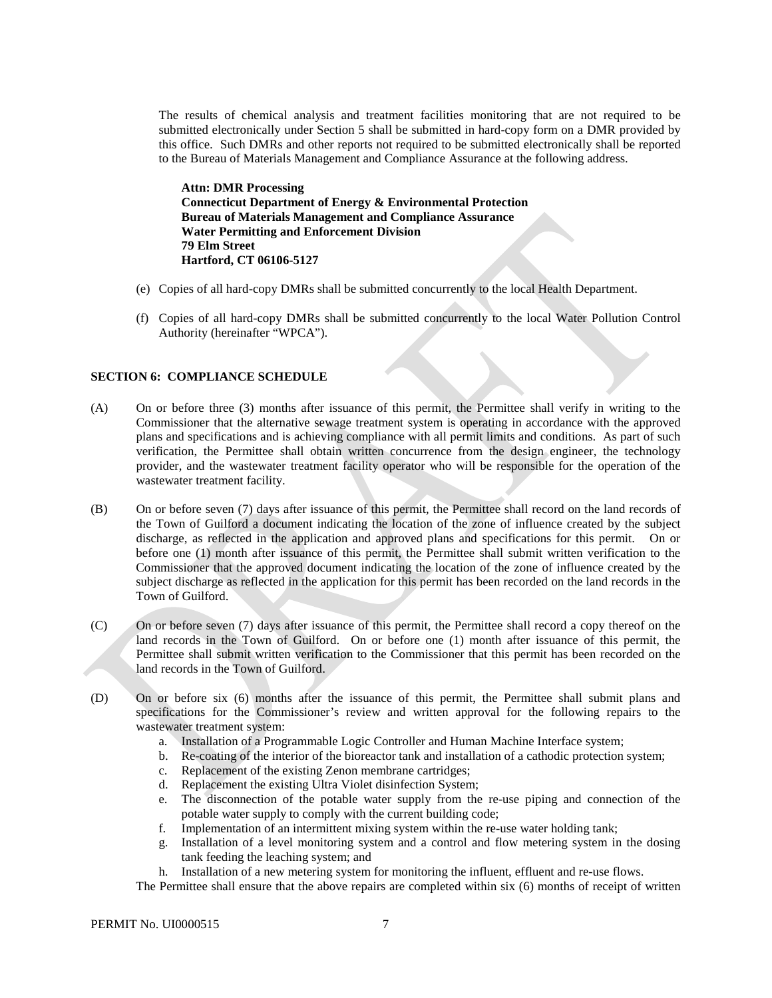The results of chemical analysis and treatment facilities monitoring that are not required to be submitted electronically under Section 5 shall be submitted in hard-copy form on a DMR provided by this office. Such DMRs and other reports not required to be submitted electronically shall be reported to the Bureau of Materials Management and Compliance Assurance at the following address.

 **Bureau of Materials Management and Compliance Assurance Attn: DMR Processing Connecticut Department of Energy & Environmental Protection Water Permitting and Enforcement Division 79 Elm Street Hartford, CT 06106-5127** 

- (e) Copies of all hard-copy DMRs shall be submitted concurrently to the local Health Department.
- Copies of all hard-copy DMRs shall be submitted concurrently to the local Water Pollution Control (f) Authority (hereinafter "WPCA").

#### **SECTION 6: COMPLIANCE SCHEDULE**

- Commissioner that the alternative sewage treatment system is operating in accordance with the approved provider, and the wastewater treatment facility operator who will be responsible for the operation of the (A) On or before three (3) months after issuance of this permit, the Permittee shall verify in writing to the plans and specifications and is achieving compliance with all permit limits and conditions. As part of such verification, the Permittee shall obtain written concurrence from the design engineer, the technology wastewater treatment facility.
- (B) On or before seven (7) days after issuance of this permit, the Permittee shall record on the land records of the Town of Guilford a document indicating the location of the zone of influence created by the subject discharge, as reflected in the application and approved plans and specifications for this permit. On or before one (1) month after issuance of this permit, the Permittee shall submit written verification to the Commissioner that the approved document indicating the location of the zone of influence created by the subject discharge as reflected in the application for this permit has been recorded on the land records in the Town of Guilford.
- On or before one (1) month after issuance of this permit, the (C) land records in the Town of Guilford.<br>
Permittee shall submit written verification<br>
land records in the Town of Guilford.<br>
(D) On or before six (6) months after the On or before seven (7) days after issuance of this permit, the Permittee shall record a copy thereof on the Permittee shall submit written verification to the Commissioner that this permit has been recorded on the land records in the Town of Guilford.
- wastewater treatment system: On or before six (6) months after the issuance of this permit, the Permittee shall submit plans and specifications for the Commissioner's review and written approval for the following repairs to the
	- a. Installation of a Programmable Logic Controller and Human Machine Interface system;
	- b. Re-coating of the interior of the bioreactor tank and installation of a cathodic protection system;
	- c. Replacement of the existing Zenon membrane cartridges;
	- d. Replacement the existing Ultra Violet disinfection System;
	- potable water supply to comply with the current building code; e. The disconnection of the potable water supply from the re-use piping and connection of the
	- f. Implementation of an intermittent mixing system within the re-use water holding tank;
	- g. Installation of a level monitoring system and a control and flow metering system in the dosing tank feeding the leaching system; and
	- h. Installation of a new metering system for monitoring the influent, effluent and re-use flows.
	- The Permittee shall ensure that the above repairs are completed within six (6) months of receipt of written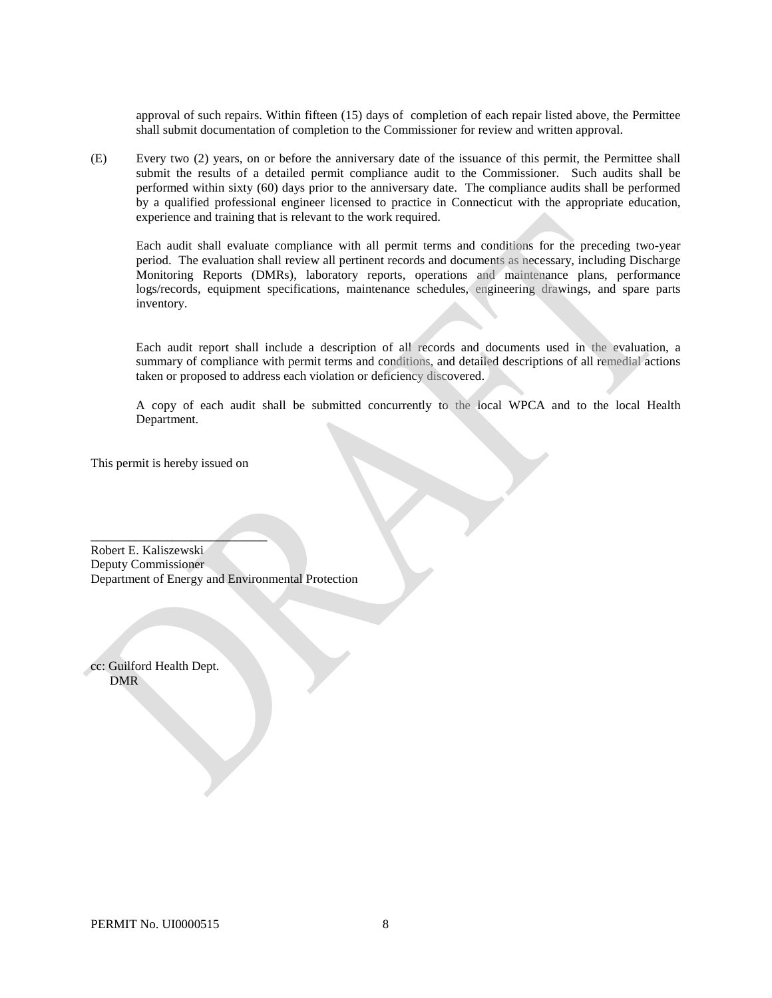approval of such repairs. Within fifteen (15) days of completion of each repair listed above, the Permittee shall submit documentation of completion to the Commissioner for review and written approval.

(E) Every two (2) years, on or before the anniversary date of the issuance of this permit, the Permittee shall submit the results of a detailed permit compliance audit to the Commissioner. Such audits shall be performed within sixty (60) days prior to the anniversary date. The compliance audits shall be performed by a qualified professional engineer licensed to practice in Connecticut with the appropriate education, experience and training that is relevant to the work required.

Each audit shall evaluate compliance with all permit terms and conditions for the preceding two-year period. The evaluation shall review all pertinent records and documents as necessary, including Discharge Monitoring Reports (DMRs), laboratory reports, operations and maintenance plans, performance logs/records, equipment specifications, maintenance schedules, engineering drawings, and spare parts inventory.

Each audit report shall include a description of all records and documents used in the evaluation, a summary of compliance with permit terms and conditions, and detailed descriptions of all remedial actions taken or proposed to address each violation or deficiency discovered.

A copy of each audit shall be submitted concurrently to the local WPCA and to the local Health Department.

This permit is hereby issued on

 $\overline{\phantom{a}}$  , where  $\overline{\phantom{a}}$ 

Robert E. Kaliszewski Deputy Commissioner Department of Energy and Environmental Protection

cc: Guilford Health Dept. DMR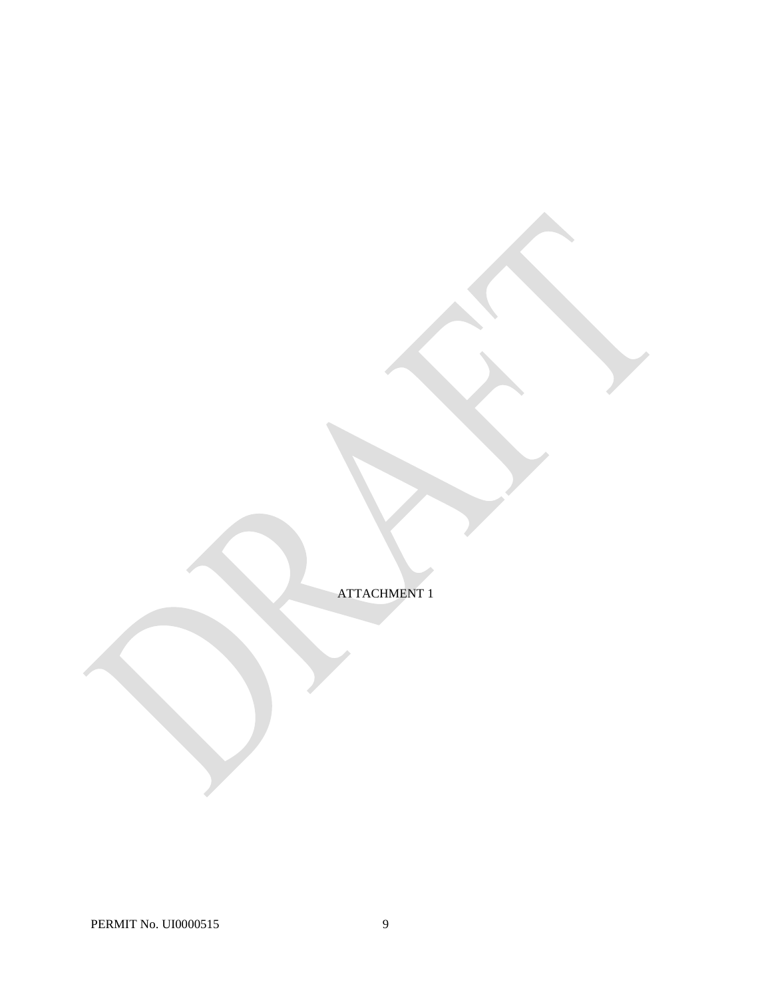ATTACHMENT 1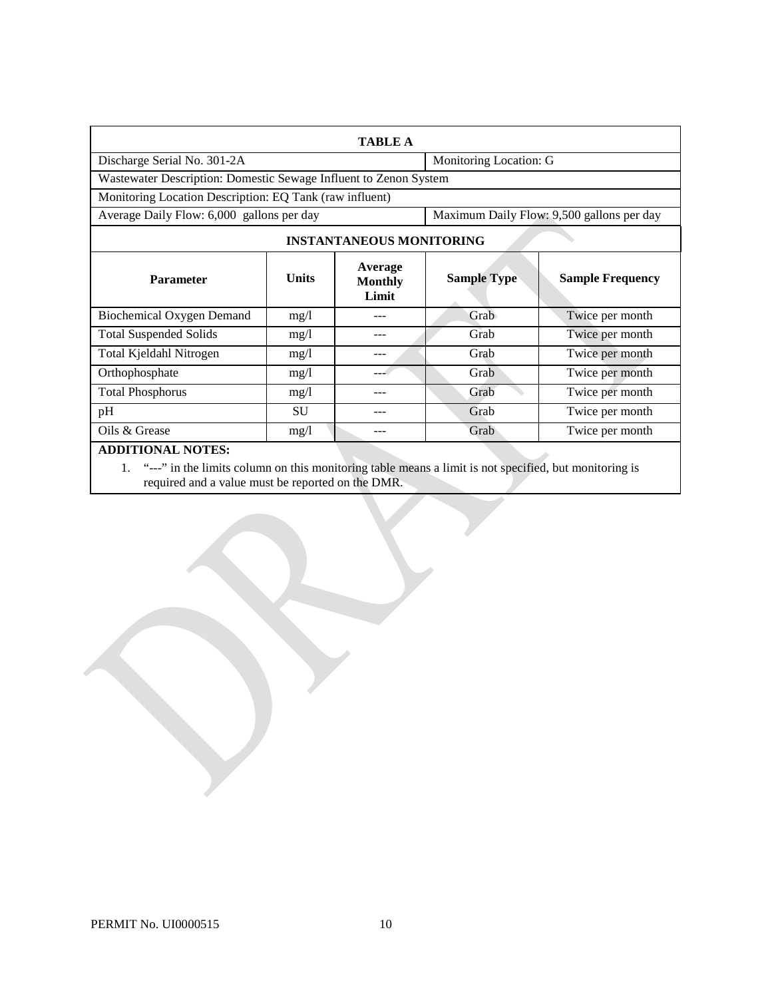|                                                                                        |              | <b>TABLE A</b>                     |                        |                         |  |
|----------------------------------------------------------------------------------------|--------------|------------------------------------|------------------------|-------------------------|--|
| Discharge Serial No. 301-2A                                                            |              |                                    | Monitoring Location: G |                         |  |
| Wastewater Description: Domestic Sewage Influent to Zenon System                       |              |                                    |                        |                         |  |
| Monitoring Location Description: EQ Tank (raw influent)                                |              |                                    |                        |                         |  |
| Maximum Daily Flow: 9,500 gallons per day<br>Average Daily Flow: 6,000 gallons per day |              |                                    |                        |                         |  |
| <b>INSTANTANEOUS MONITORING</b>                                                        |              |                                    |                        |                         |  |
| <b>Parameter</b>                                                                       | <b>Units</b> | Average<br><b>Monthly</b><br>Limit | <b>Sample Type</b>     | <b>Sample Frequency</b> |  |
| <b>Biochemical Oxygen Demand</b>                                                       | mg/l         |                                    | Grab                   | Twice per month         |  |
| <b>Total Suspended Solids</b>                                                          | mg/1         | ---                                | Grab                   | Twice per month         |  |
| Total Kjeldahl Nitrogen                                                                | mg/1         |                                    | Grab                   | Twice per month         |  |
| Orthophosphate                                                                         | mg/1         |                                    | Grab                   | Twice per month         |  |
| <b>Total Phosphorus</b>                                                                | mg/1         |                                    | Grab                   | Twice per month         |  |
| pH                                                                                     | SU           |                                    | Grab                   | Twice per month         |  |
| Oils & Grease                                                                          | mg/l         |                                    | Grab                   | Twice per month         |  |
| <b>ADDITIONAL NOTES:</b>                                                               |              |                                    |                        |                         |  |

1. "---" in the limits column on this monitoring table means a limit is not specified, but monitoring is required and a value must be reported on the DMR.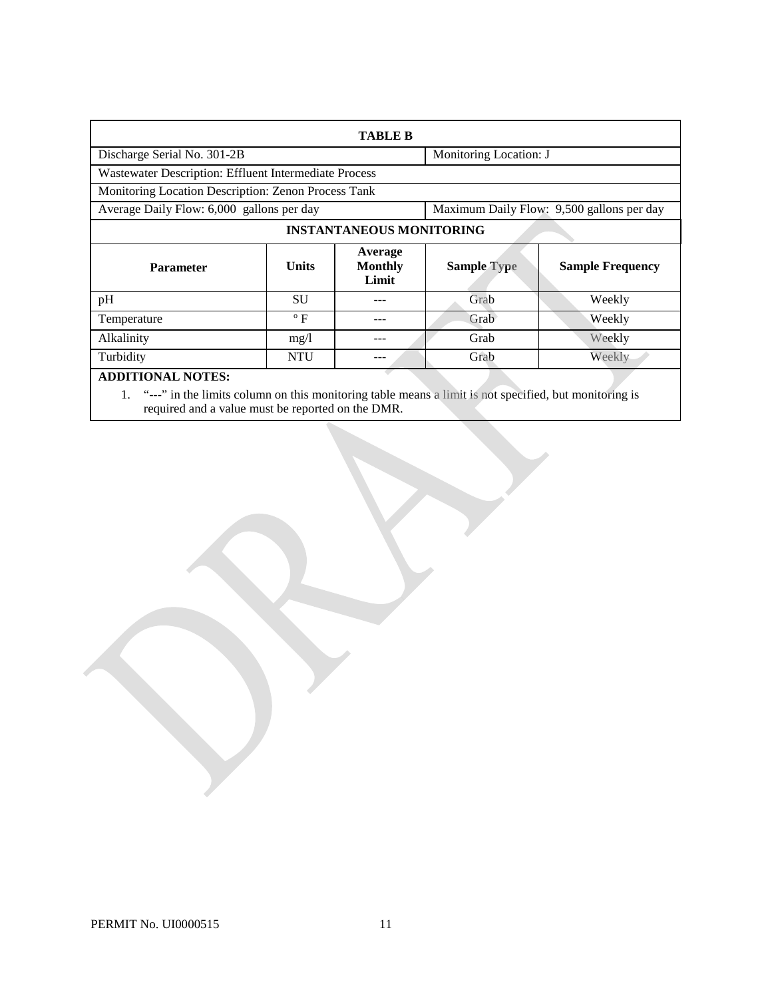| <b>TABLE B</b>                                                                         |              |                                    |                        |                         |
|----------------------------------------------------------------------------------------|--------------|------------------------------------|------------------------|-------------------------|
| Discharge Serial No. 301-2B                                                            |              |                                    | Monitoring Location: J |                         |
| Wastewater Description: Effluent Intermediate Process                                  |              |                                    |                        |                         |
| Monitoring Location Description: Zenon Process Tank                                    |              |                                    |                        |                         |
| Maximum Daily Flow: 9,500 gallons per day<br>Average Daily Flow: 6,000 gallons per day |              |                                    |                        |                         |
| <b>INSTANTANEOUS MONITORING</b>                                                        |              |                                    |                        |                         |
| <b>Parameter</b>                                                                       | <b>Units</b> | Average<br><b>Monthly</b><br>Limit | <b>Sample Type</b>     | <b>Sample Frequency</b> |
| pH                                                                                     | <b>SU</b>    |                                    | Grab                   | Weekly                  |
| Temperature                                                                            | $\rm ^{o}$ F |                                    | Grab                   | Weekly                  |
| Alkalinity                                                                             | mg/l         |                                    | Grab                   | Weekly                  |
| Turbidity                                                                              | <b>NTU</b>   | ---                                | Grab                   | Weekly                  |
| <b>ADDITIONAL NOTES:</b>                                                               |              |                                    |                        |                         |

1. "---" in the limits column on this monitoring table means a limit is not specified, but monitoring is required and a value must be reported on the DMR.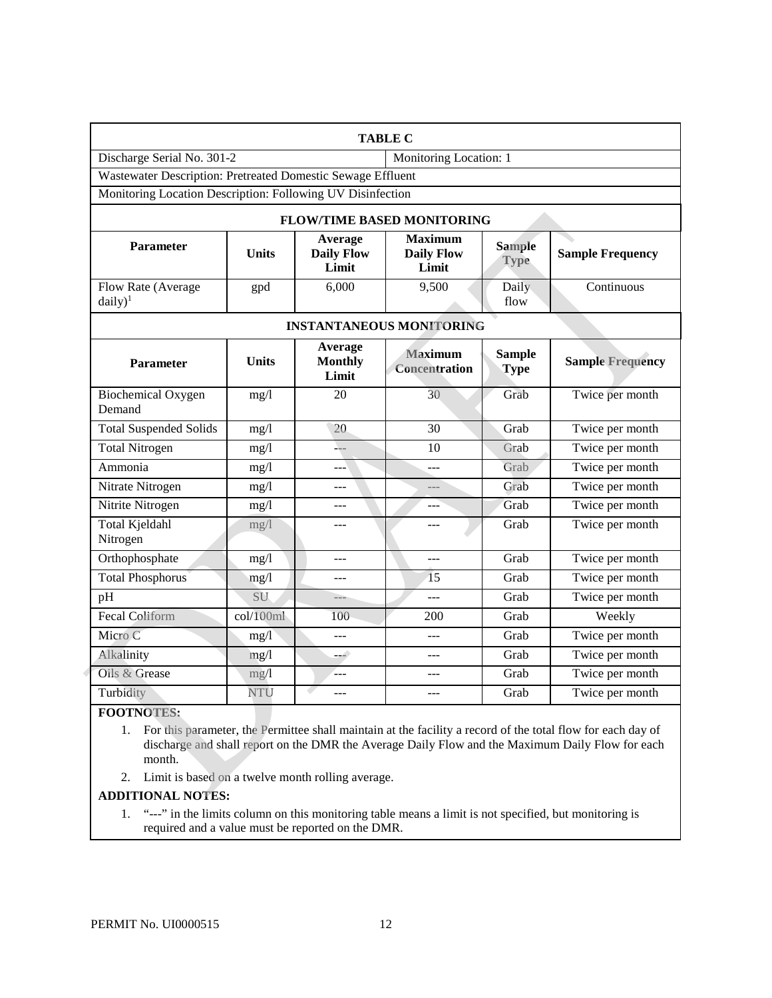| <b>TABLE C</b>                                              |                                                            |                                       |                                              |                              |                         |
|-------------------------------------------------------------|------------------------------------------------------------|---------------------------------------|----------------------------------------------|------------------------------|-------------------------|
| Discharge Serial No. 301-2                                  |                                                            |                                       | Monitoring Location: 1                       |                              |                         |
| Wastewater Description: Pretreated Domestic Sewage Effluent |                                                            |                                       |                                              |                              |                         |
|                                                             | Monitoring Location Description: Following UV Disinfection |                                       |                                              |                              |                         |
|                                                             |                                                            |                                       | <b>FLOW/TIME BASED MONITORING</b>            |                              |                         |
| Parameter                                                   | <b>Units</b>                                               | Average<br><b>Daily Flow</b><br>Limit | <b>Maximum</b><br><b>Daily Flow</b><br>Limit | <b>Sample</b><br><b>Type</b> | <b>Sample Frequency</b> |
| Flow Rate (Average<br>$daily)^1$                            | gpd                                                        | 6,000                                 | 9,500                                        | Daily<br>flow                | Continuous              |
| <b>INSTANTANEOUS MONITORING</b>                             |                                                            |                                       |                                              |                              |                         |
| <b>Parameter</b>                                            | <b>Units</b>                                               | Average<br><b>Monthly</b><br>Limit    | <b>Maximum</b><br><b>Concentration</b>       | <b>Sample</b><br><b>Type</b> | <b>Sample Frequency</b> |
| <b>Biochemical Oxygen</b><br>Demand                         | mg/1                                                       | $\overline{20}$                       | 30                                           | Grab                         | Twice per month         |
| <b>Total Suspended Solids</b>                               | mg/1                                                       | 20                                    | 30                                           | Grab                         | Twice per month         |
| <b>Total Nitrogen</b>                                       | mg/1                                                       | ⊥_                                    | 10                                           | Grab                         | Twice per month         |
| Ammonia                                                     | mg/1                                                       | ---                                   | $ -$                                         | Grab                         | Twice per month         |
| Nitrate Nitrogen                                            | mg/1                                                       | $---$                                 | $---$                                        | Grab                         | Twice per month         |
| Nitrite Nitrogen                                            | mg/1                                                       |                                       |                                              | Grab                         | Twice per month         |
| <b>Total Kjeldahl</b><br>Nitrogen                           | mg/l                                                       | ---                                   | ---                                          | Grab                         | Twice per month         |
| Orthophosphate                                              | mg/l                                                       | $ -$                                  | $ -$                                         | Grab                         | Twice per month         |
| <b>Total Phosphorus</b>                                     | mg/1                                                       | ---                                   | $\overline{15}$                              | Grab                         | Twice per month         |
| pH                                                          | SU                                                         | ---                                   | ---                                          | Grab                         | Twice per month         |
| <b>Fecal Coliform</b>                                       | col/100ml                                                  | 100                                   | 200                                          | Grab                         | Weekly                  |
| Micro C                                                     | mg/1                                                       | ---                                   | $ -$                                         | Grab                         | Twice per month         |
| Alkalinity                                                  | mg/l                                                       | السند                                 | $-$                                          | Grab                         | Twice per month         |
| Oils & Grease                                               | mg/1                                                       | ---                                   | $---$                                        | Grab                         | Twice per month         |
| Turbidity                                                   | NTU                                                        | ۰<br>---                              | ---                                          | Grab                         | Twice per month         |
| $\sim$ $\sim$ $\sim$ $\sim$ $\sim$ $\sim$ $\sim$            |                                                            |                                       |                                              |                              |                         |

### **FOOTNOTES:**

1. For this parameter, the Permittee shall maintain at the facility a record of the total flow for each day of discharge and shall report on the DMR the Average Daily Flow and the Maximum Daily Flow for each month.

2. Limit is based on a twelve month rolling average.

### **ADDITIONAL NOTES:**

1. "---" in the limits column on this monitoring table means a limit is not specified, but monitoring is required and a value must be reported on the DMR.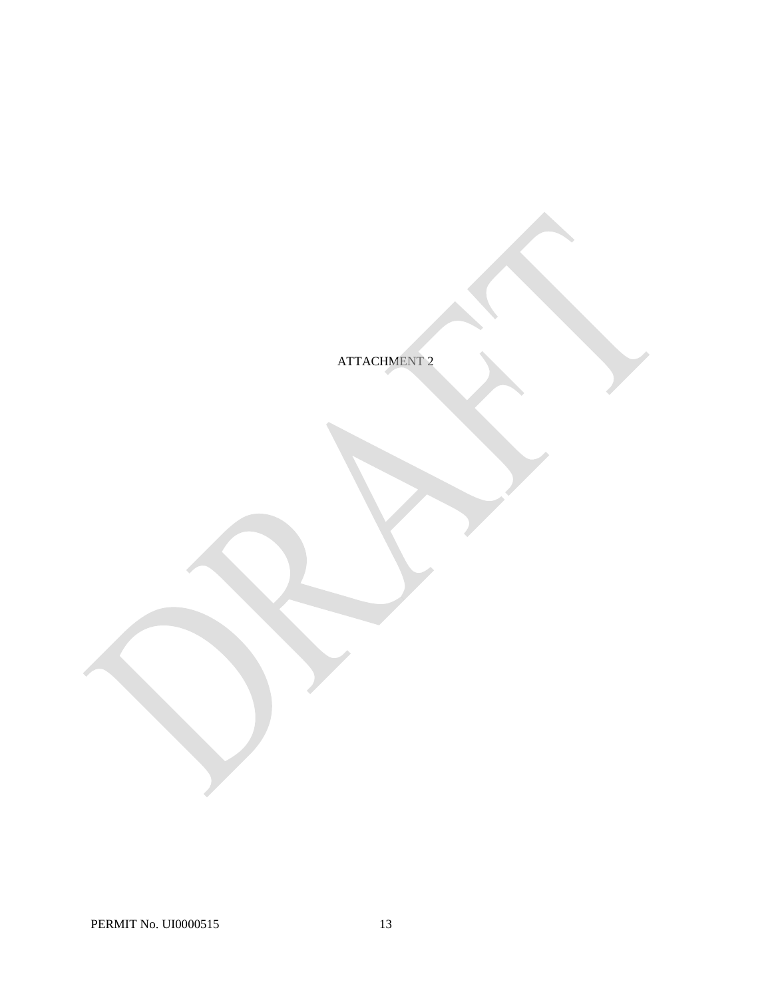ATTACHMENT 2

PERMIT No. UI0000515 13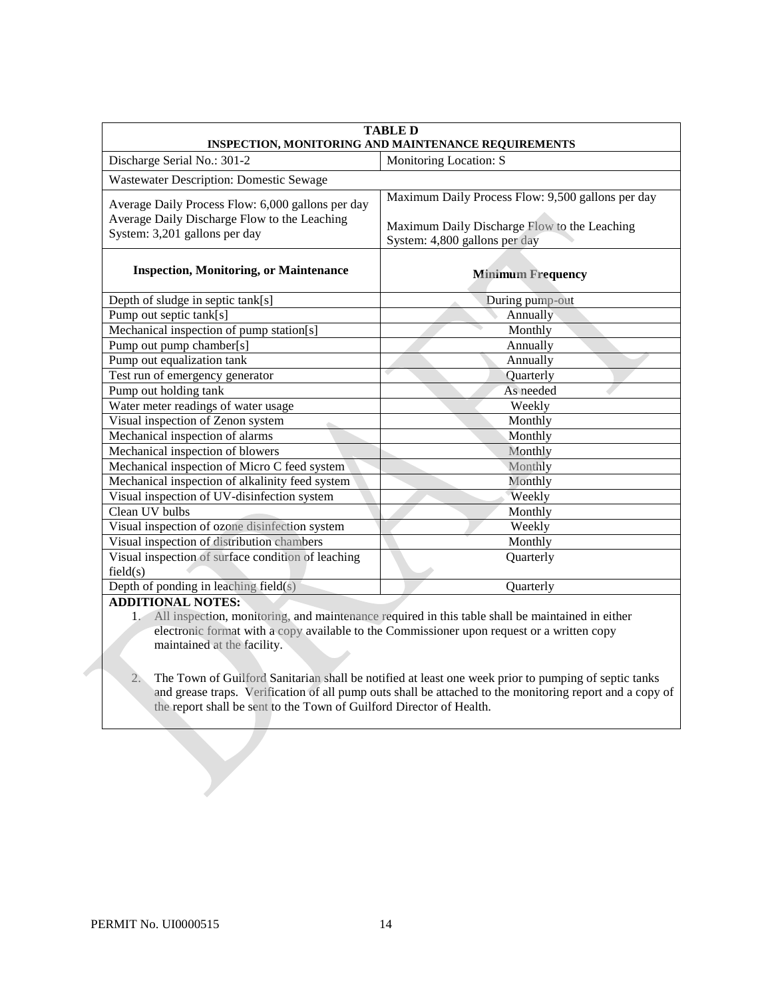| <b>TABLE D</b>                                                                                                                     |                                                                                                                                    |  |  |  |
|------------------------------------------------------------------------------------------------------------------------------------|------------------------------------------------------------------------------------------------------------------------------------|--|--|--|
| INSPECTION, MONITORING AND MAINTENANCE REQUIREMENTS                                                                                |                                                                                                                                    |  |  |  |
| Discharge Serial No.: 301-2                                                                                                        | Monitoring Location: S                                                                                                             |  |  |  |
| <b>Wastewater Description: Domestic Sewage</b>                                                                                     |                                                                                                                                    |  |  |  |
| Average Daily Process Flow: 6,000 gallons per day<br>Average Daily Discharge Flow to the Leaching<br>System: 3,201 gallons per day | Maximum Daily Process Flow: 9,500 gallons per day<br>Maximum Daily Discharge Flow to the Leaching<br>System: 4,800 gallons per day |  |  |  |
| <b>Inspection, Monitoring, or Maintenance</b>                                                                                      | <b>Minimum Frequency</b>                                                                                                           |  |  |  |
| Depth of sludge in septic tank[s]                                                                                                  | During pump-out                                                                                                                    |  |  |  |
| Pump out septic tank[s]                                                                                                            | Annually                                                                                                                           |  |  |  |
| Mechanical inspection of pump station[s]                                                                                           | Monthly                                                                                                                            |  |  |  |
| Pump out pump chamber[s]                                                                                                           | Annually                                                                                                                           |  |  |  |
| Pump out equalization tank                                                                                                         | Annually                                                                                                                           |  |  |  |
| Test run of emergency generator                                                                                                    | Quarterly                                                                                                                          |  |  |  |
| Pump out holding tank                                                                                                              | As needed                                                                                                                          |  |  |  |
| Water meter readings of water usage                                                                                                | Weekly                                                                                                                             |  |  |  |
| Visual inspection of Zenon system                                                                                                  | Monthly                                                                                                                            |  |  |  |
| Mechanical inspection of alarms                                                                                                    | Monthly                                                                                                                            |  |  |  |
| Mechanical inspection of blowers                                                                                                   | Monthly                                                                                                                            |  |  |  |
| Mechanical inspection of Micro C feed system                                                                                       | Monthly                                                                                                                            |  |  |  |
| Mechanical inspection of alkalinity feed system                                                                                    | Monthly                                                                                                                            |  |  |  |
| Visual inspection of UV-disinfection system                                                                                        | Weekly                                                                                                                             |  |  |  |
| Clean UV bulbs                                                                                                                     | Monthly                                                                                                                            |  |  |  |
| Visual inspection of ozone disinfection system                                                                                     | Weekly                                                                                                                             |  |  |  |
| Visual inspection of distribution chambers                                                                                         | Monthly                                                                                                                            |  |  |  |
| Visual inspection of surface condition of leaching<br>field(s)                                                                     | Quarterly                                                                                                                          |  |  |  |
| Depth of ponding in leaching field(s)                                                                                              | Quarterly                                                                                                                          |  |  |  |
| <b>ADDITIONAL NOTES:</b>                                                                                                           |                                                                                                                                    |  |  |  |

1. All inspection, monitoring, and maintenance required in this table shall be maintained in either electronic format with a copy available to the Commissioner upon request or a written copy maintained at the facility.

2. The Town of Guilford Sanitarian shall be notified at least one week prior to pumping of septic tanks and grease traps. Verification of all pump outs shall be attached to the monitoring report and a copy of the report shall be sent to the Town of Guilford Director of Health.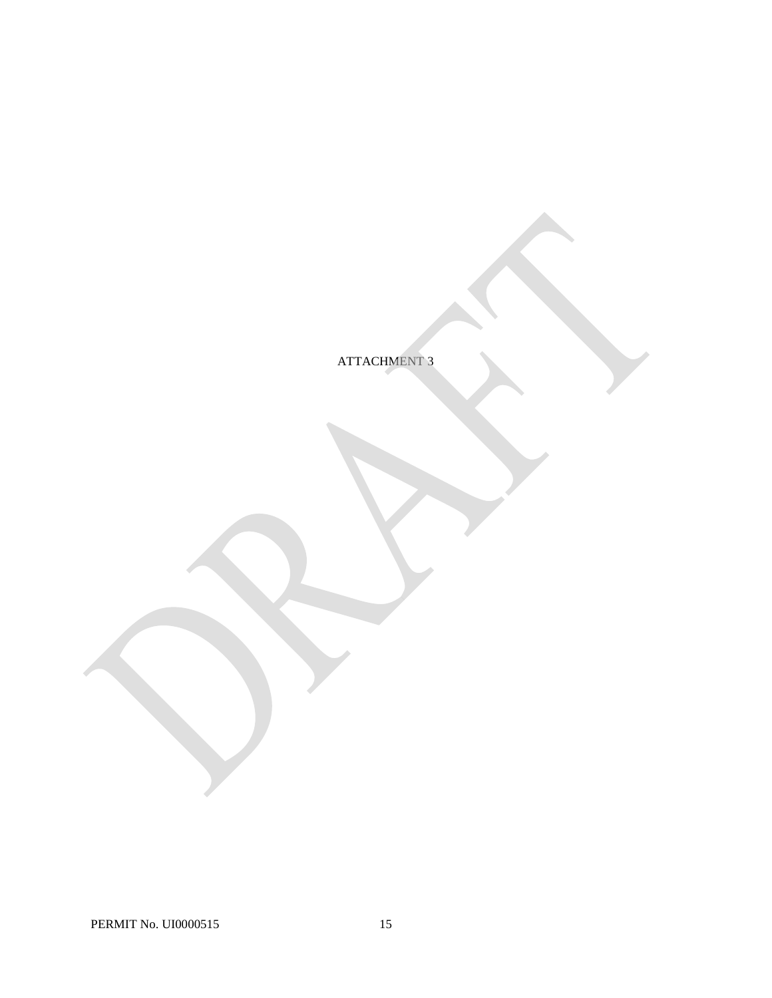ATTACHMENT 3

PERMIT No. UI0000515 15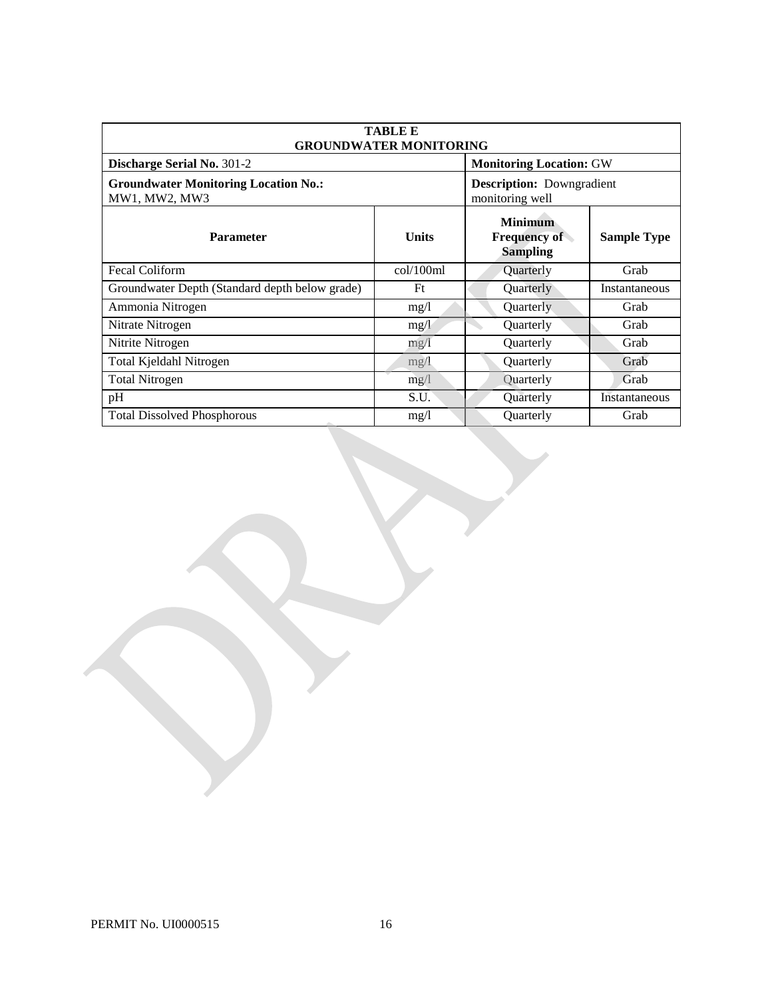| <b>TABLE E</b><br><b>GROUNDWATER MONITORING</b>              |                                |                                                          |                    |  |
|--------------------------------------------------------------|--------------------------------|----------------------------------------------------------|--------------------|--|
| Discharge Serial No. 301-2                                   | <b>Monitoring Location: GW</b> |                                                          |                    |  |
| <b>Groundwater Monitoring Location No.:</b><br>MW1, MW2, MW3 |                                | <b>Description:</b> Downgradient<br>monitoring well      |                    |  |
| <b>Parameter</b>                                             | <b>Units</b>                   | <b>Minimum</b><br><b>Frequency of</b><br><b>Sampling</b> | <b>Sample Type</b> |  |
| Fecal Coliform                                               | col/100ml                      | Quarterly                                                | Grab               |  |
| Groundwater Depth (Standard depth below grade)               | Ft                             | <b>Ouarterly</b>                                         | Instantaneous      |  |
| Ammonia Nitrogen                                             | mg/l                           | Quarterly                                                | Grab               |  |
| Nitrate Nitrogen                                             | mg/l                           | Quarterly                                                | Grab               |  |
| Nitrite Nitrogen                                             | mg/1                           | <b>Ouarterly</b>                                         | Grab               |  |
| Total Kjeldahl Nitrogen                                      | mg/1                           | Quarterly                                                | Grab               |  |
| <b>Total Nitrogen</b>                                        | mg/1                           | Quarterly                                                | Grab               |  |
| pH                                                           | S.U.                           | Quarterly                                                | Instantaneous      |  |
| <b>Total Dissolved Phosphorous</b>                           | mg/l                           | <b>Ouarterly</b>                                         | Grab               |  |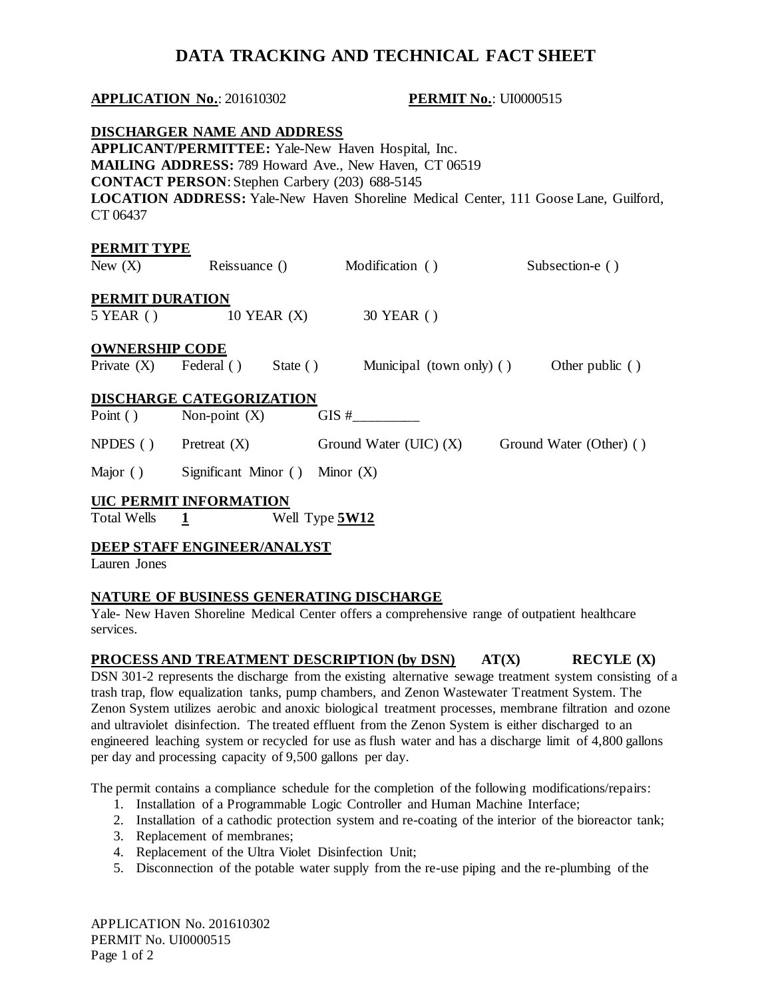# **DATA TRACKING AND TECHNICAL FACT SHEET**

# **APPLICATION No.:** 201610302 **PERMIT No.:** UI0000515  **DISCHARGER NAME AND ADDRESS APPLICANT/PERMITTEE:** Yale-New Haven Hospital, Inc. **MAILING ADDRESS:** 789 Howard Ave., New Haven, CT 06519 **CONTACT PERSON**: Stephen Carbery (203) 688-5145 **LOCATION ADDRESS:** Yale-New Haven Shoreline Medical Center, 111 Goose Lane, Guilford, CT 06437 New  $(X)$  $5$  YEAR  $()$ Private  $(X)$ Point  $()$ NPDES () Major ()  **UIC PERMIT INFORMATION Total Wells DEEP STAFF ENGINEER/ANALYST**  Lauren Jones **PERMIT TYPE**  Reissuance () Modification ( ) Subsection-e ( ) **PERMIT DURATION**  10 YEAR (X) 30 YEAR () **OWNERSHIP CODE**  Federal () State ( ) Municipal (town only) ( ) Other public ( ) **DISCHARGE CATEGORIZATION**  Non-point  $(X)$  GIS #  $P$ retreat  $(X)$  Ground Water (UIC)  $(X)$  Ground Water (Other) ( ) Significant Minor  $( )$  Minor  $( X )$ Total Wells **1** Well Type **5W12**

## **NATURE OF BUSINESS GENERATING DISCHARGE**

Yale- New Haven Shoreline Medical Center offers a comprehensive range of outpatient healthcare services.

## **PROCESS AND TREATMENT DESCRIPTION (by DSN)** AT(X) RECYLE (X)

 DSN 301-2 represents the discharge from the existing alternative sewage treatment system consisting of a trash trap, flow equalization tanks, pump chambers, and Zenon Wastewater Treatment System. The Zenon System utilizes aerobic and anoxic biological treatment processes, membrane filtration and ozone and ultraviolet disinfection. The treated effluent from the Zenon System is either discharged to an engineered leaching system or recycled for use as flush water and has a discharge limit of 4,800 gallons per day and processing capacity of 9,500 gallons per day.

The permit contains a compliance schedule for the completion of the following modifications/repairs:

- 1. Installation of a Programmable Logic Controller and Human Machine Interface;
- 2. Installation of a cathodic protection system and re-coating of the interior of the bioreactor tank;
- 3. Replacement of membranes;
- 4. Replacement of the Ultra Violet Disinfection Unit;
- 5. Disconnection of the potable water supply from the re-use piping and the re-plumbing of the

 APPLICATION No. 201610302 PERMIT No. UI0000515 Page 1 of 2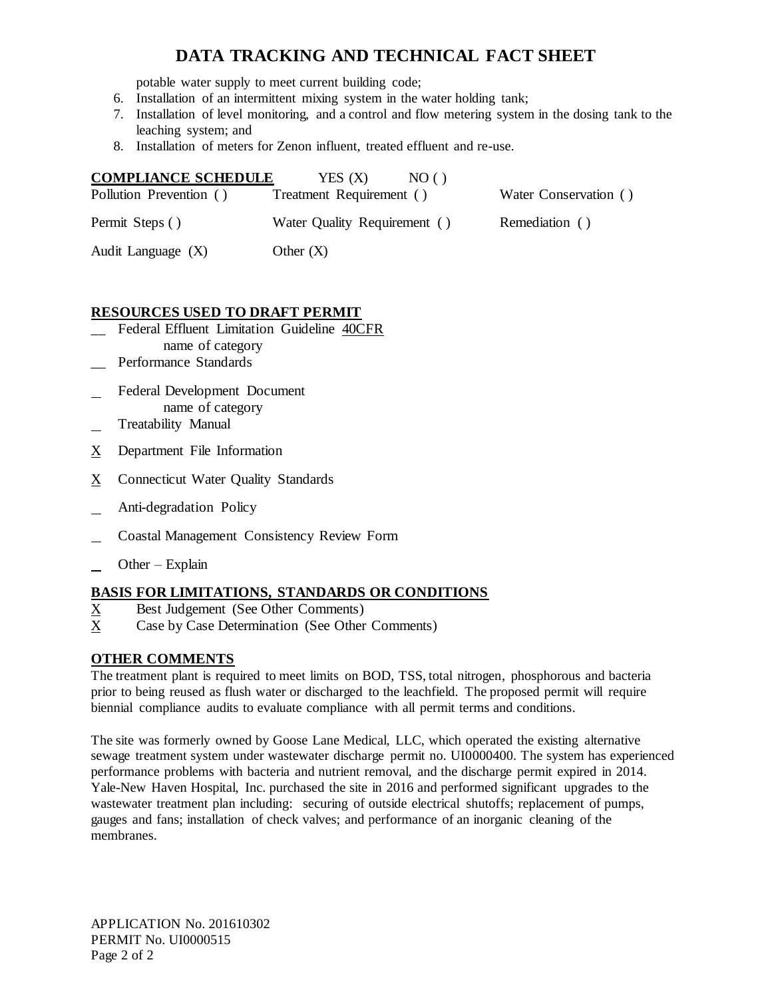# **DATA TRACKING AND TECHNICAL FACT SHEET**

potable water supply to meet current building code;

- 6. Installation of an intermittent mixing system in the water holding tank;
- 7. Installation of level monitoring, and a control and flow metering system in the dosing tank to the leaching system; and
- 8. Installation of meters for Zenon influent, treated effluent and re-use.

| <b>COMPLIANCE SCHEDULE</b> | YES (X)<br>N()()             |                       |
|----------------------------|------------------------------|-----------------------|
| Pollution Prevention ()    | Treatment Requirement ()     | Water Conservation () |
| Permit Steps ()            | Water Quality Requirement () | Remediation ()        |
| Audit Language (X)         | Other $(X)$                  |                       |

# **RESOURCES USED TO DRAFT PERMIT**

- \_\_ Federal Effluent Limitation Guideline 40CFR name of category
- \_\_ Performance Standards
- l Federal Development Document name of category
- l Treatability Manual
- $X$  Department File Information
- $X$  Connecticut Water Quality Standards
- l Anti-degradation Policy
- l Coastal Management Consistency Review Form
- l Other – Explain

# **BASIS FOR LIMITATIONS, STANDARDS OR CONDITIONS**

- $\underline{X}$ Best Judgement (See Other Comments)
- $X$ Case by Case Determination (See Other Comments)

# **OTHER COMMENTS**

 The treatment plant is required to meet limits on BOD, TSS, total nitrogen, phosphorous and bacteria prior to being reused as flush water or discharged to the leachfield. The proposed permit will require biennial compliance audits to evaluate compliance with all permit terms and conditions.

 The site was formerly owned by Goose Lane Medical, LLC, which operated the existing alternative sewage treatment system under wastewater discharge permit no. UI0000400. The system has experienced Yale-New Haven Hospital, Inc. purchased the site in 2016 and performed significant upgrades to the wastewater treatment plan including: securing of outside electrical shutoffs; replacement of pumps, performance problems with bacteria and nutrient removal, and the discharge permit expired in 2014. gauges and fans; installation of check valves; and performance of an inorganic cleaning of the membranes.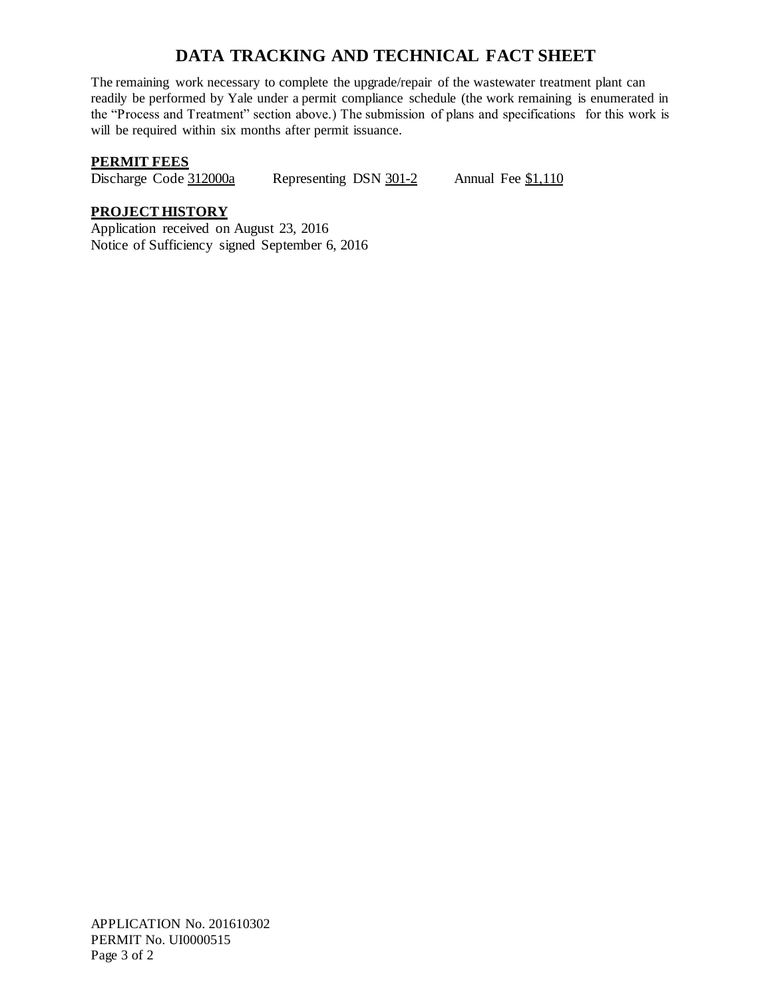# **DATA TRACKING AND TECHNICAL FACT SHEET**

 will be required within six months after permit issuance. The remaining work necessary to complete the upgrade/repair of the wastewater treatment plant can readily be performed by Yale under a permit compliance schedule (the work remaining is enumerated in the "Process and Treatment" section above.) The submission of plans and specifications for this work is

# **PERMIT FEES**

Discharge Code 312000a Representing DSN  $301-2$  Annual Fee  $$1,110$ 

# **PROJECT HISTORY**

 Application received on August 23, 2016 Notice of Sufficiency signed September 6, 2016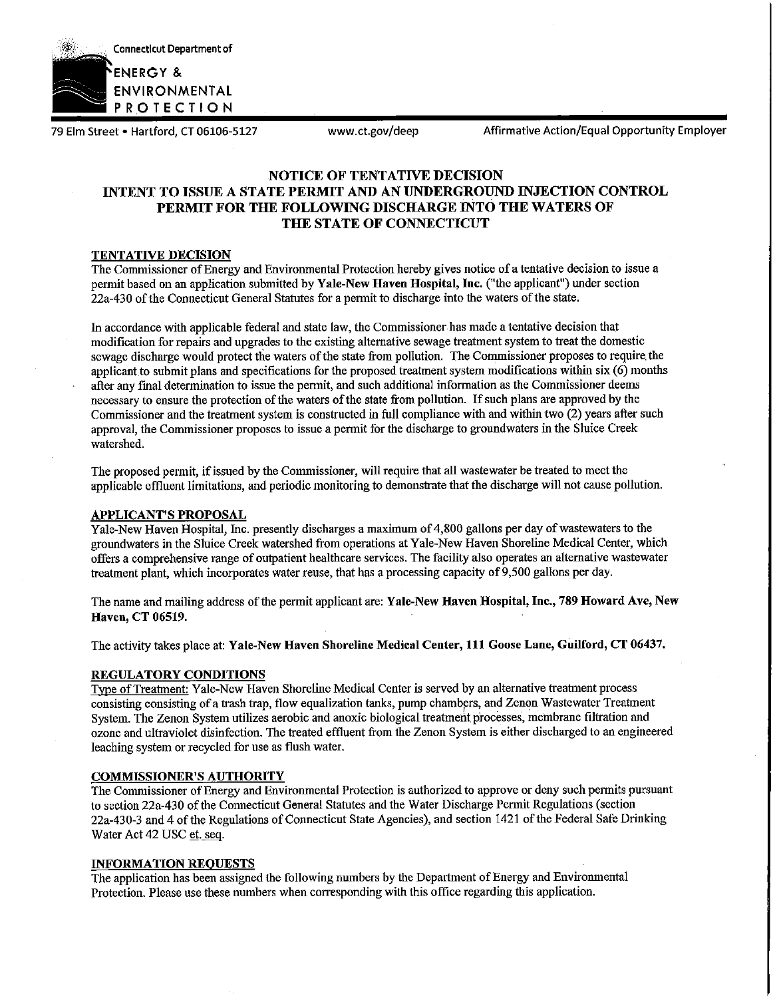

79 Elm Street • Hartford, CT 06106-5127 www.ct.gov/deep Affirmative Action/Equal Opportunity Employer

## **NOTICE OF TENTATIVE DECISION INTENT TO ISSUE A STATE PERMIT AND AN UNDERGROUND INJECTION CONTROL PERMIT FOR THE FOLLOWING DISCHARGE INTO THE WATERS OF THE STATE OF CONNECTICUT**

#### **TENTATIVE DECISION**

The Commissioner ofEnergy and Environmental Protection hereby *gives* notice of a tentative decision to issue a permit based on an application submitted by **Yale-New Haven Hospital, Inc.** ("the applicant") under section 22a-430 ofthe Connecticut General Statutes for a permit to discharge into the waters ofthe state.

In accordance with applicable federal and state law, the Commissioner has made a tentative decision that modification for repairs and upgrades to the existing alternative sewage treatment system to treat the domestic sewage discharge would protect the waters of the state from pollution. The Commissioner proposes to require the applicant to submit plans and specifications for the proposed treatment system modifications within six (6) months after any fmal determination to issue the pennit, and such additional information as the Commissioner deems necessary to ensure the protection of the waters of the state from pollution. If such plans are approved by the Commissioner and the treatment system is constructed in full compliance with and within two (2) years after such approval, the Commissioner proposes to issue a permit for the discharge to groundwaters in the Sluice Creek watershed.

The proposed permit, if issued by the Commissioner, will require that all wastewater be treated to meet the applicable effluent limitations, and periodic monitoring to demonstrate that the discharge will not cause pollution.

### **APPLICANT'S PROPOSAL**

Yale-New Haven Hospital, Inc. presently discharges a maximum of 4,800 gallons per day ofwastewaters to the groundwaters in the Sluice Creek watershed from operations at Yale-New Haven Shoreline Medical Center, which offers a comprehensive range ofoutpatient healthcare services. The facility also operates an alternative wastewater treatment plant, which incorporates water reuse, that has a processing capacity of 9,500 gallons per day.

The name and mailing address ofthe permit applicant are: **Yale-New Haven Hospital, Inc., 789 Howard Ave, New Haven, CT 06519.** 

The activity takes place at: **Yale-New Haven Shoreline Medical Center, 111 Goose Lane, Guilford, CT 06437.** 

### **REGULATORY CONDITIONS**

Type ofTreatment: Yale-New Haven Shoreline Medical Center is served by an alternative treatment process consisting consisting of a trash trap, flow equalization tanks, pump chambers, and Zenon Wastewater Treatment System. The Zenon System utilizes aerobic and anoxic biological treatmeht processes, membrane filtration and ozone and ultraviolet disinfection. The treated effluent from the Zenon System is either discharged to an engineered leaching system or recycled for use as flush water.

### **COMMISSIONER'S AUTHORITY**

The Commissioner of Energy and Environmental Protection is authorized to approve or deny such permits pursuant to section 22a-430 of the Connecticut General Statutes and the Water Discharge Permit Regulations (section 22a-430-3 and 4 ofthe Regulations of Connecticut State Agencies), and section 1421 ofthe Federal Safe Drinking Water Act 42 USC et. seq.

#### **INFORMATION REQUESTS**

The application has been assigned the following numbers by the Department of Energy and Environmental Protection. Please use these numbers when corresponding with this office regarding this application.